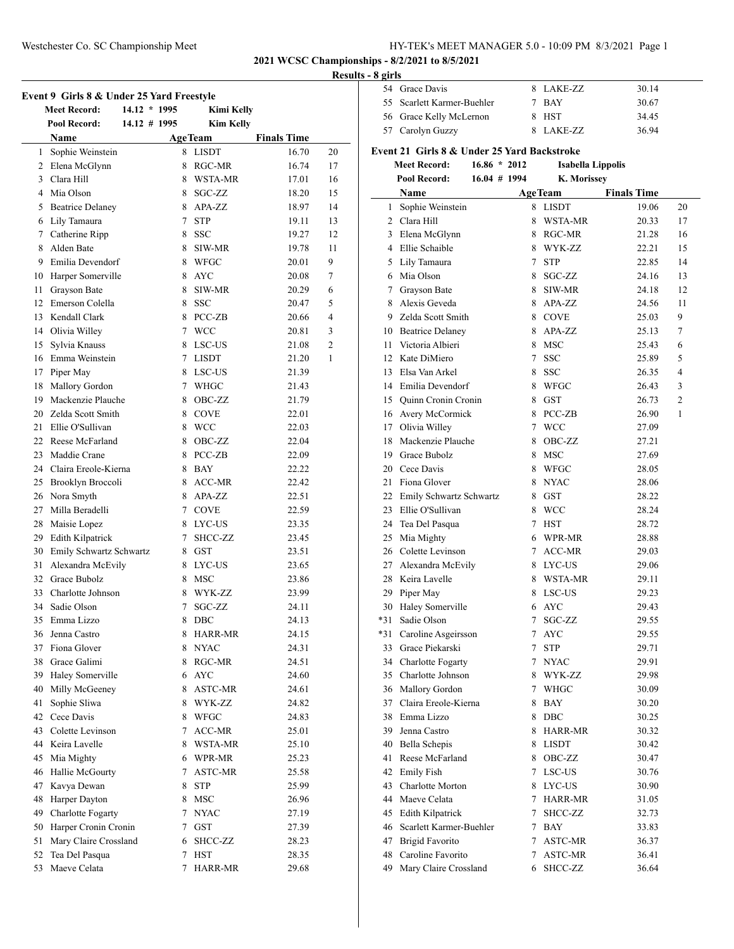# Westchester Co. SC Championship Meet HY-TEK's MEET MANAGER 5.0 - 10:09 PM 8/3/2021 Page 1

**2021 WCSC Championships - 8/2/2021 to 8/5/2021**

# **Results - 8 girls**

|    |                                           |                      |                        |                    | Rest     |
|----|-------------------------------------------|----------------------|------------------------|--------------------|----------|
|    | Event 9 Girls 8 & Under 25 Yard Freestyle |                      |                        |                    |          |
|    | <b>Meet Record:</b><br>14.12 * 1995       |                      | <b>Kimi Kelly</b>      |                    |          |
|    | Pool Record:<br>14.12 # 1995              |                      | <b>Kim Kelly</b>       |                    |          |
|    | Name                                      |                      | <b>AgeTeam</b>         | <b>Finals Time</b> |          |
|    | 1 Sophie Weinstein                        | 8                    | <b>LISDT</b>           | 16.70              | 20       |
|    | 2 Elena McGlynn<br>3 Clara Hill           | 8                    | RGC-MR                 | 16.74              | 17       |
|    | 4 Mia Olson                               | 8                    | WSTA-MR<br>8 SGC-ZZ    | 17.01<br>18.20     | 16       |
|    |                                           |                      |                        |                    | 15       |
|    | 5 Beatrice Delaney                        |                      | 8 APA-ZZ<br><b>STP</b> | 18.97              | 14       |
|    | 6 Lily Tamaura<br>7 Catherine Ripp        | $7\phantom{.0}$<br>8 | <b>SSC</b>             | 19.11<br>19.27     | 13<br>12 |
|    | 8 Alden Bate                              | 8                    |                        |                    | 11       |
|    | 9 Emilia Devendorf                        | 8                    | SIW-MR                 | 19.78              | 9        |
|    |                                           | 8                    | WFGC<br><b>AYC</b>     | 20.01<br>20.08     | 7        |
|    | 10 Harper Somerville                      |                      |                        |                    |          |
|    | 11 Grayson Bate                           | 8                    | SIW-MR                 | 20.29              | 6        |
|    | 12 Emerson Colella                        | 8                    | <b>SSC</b>             | 20.47              | 5        |
|    | 13 Kendall Clark                          | 8                    | PCC-ZB                 | 20.66              | 4        |
|    | 14 Olivia Willey                          | 7                    | WCC                    | 20.81              | 3        |
|    | 15 Sylvia Knauss                          | 8                    | LSC-US                 | 21.08              | 2        |
|    | 16 Emma Weinstein                         |                      | 7 LISDT                | 21.20              | 1        |
|    | 17 Piper May                              | 8                    | LSC-US                 | 21.39              |          |
|    | 18 Mallory Gordon                         | 7                    | WHGC                   | 21.43              |          |
|    | 19 Mackenzie Plauche                      | 8                    | OBC-ZZ                 | 21.79              |          |
|    | 20 Zelda Scott Smith                      | 8                    | <b>COVE</b>            | 22.01              |          |
|    | 21 Ellie O'Sullivan                       | 8                    | WCC                    | 22.03              |          |
|    | 22 Reese McFarland                        | 8                    | OBC-ZZ                 | 22.04              |          |
|    | 23 Maddie Crane                           | 8                    | PCC-ZB                 | 22.09              |          |
|    | 24 Claira Ereole-Kierna                   | 8                    | <b>BAY</b>             | 22.22              |          |
|    | 25 Brooklyn Broccoli                      | 8                    | ACC-MR                 | 22.42              |          |
|    | 26 Nora Smyth                             |                      | 8 APA-ZZ               | 22.51              |          |
|    | 27 Milla Beradelli                        |                      | 7 COVE                 | 22.59              |          |
|    | 28 Maisie Lopez                           |                      | 8 LYC-US               | 23.35              |          |
|    | 29 Edith Kilpatrick                       |                      | 7 SHCC-ZZ              | 23.45              |          |
|    | 30 Emily Schwartz Schwartz                |                      | $8$ GST                | 23.51              |          |
|    | 31 Alexandra McEvily                      | 8                    | <b>LYC-US</b>          | 23.65              |          |
|    | 32 Grace Bubolz                           | 8                    | <b>MSC</b>             | 23.86              |          |
|    | 33 Charlotte Johnson                      | 8                    | WYK-ZZ                 | 23.99              |          |
| 34 | Sadie Olson                               | 7                    | SGC-ZZ                 | 24.11              |          |
| 35 | Emma Lizzo                                | 8                    | DBC                    | 24.13              |          |
| 36 | Jenna Castro                              | 8                    | HARR-MR                | 24.15              |          |
|    | 37 Fiona Glover                           | 8                    | <b>NYAC</b>            | 24.31              |          |
|    | 38 Grace Galimi                           | 8                    | RGC-MR                 | 24.51              |          |
|    | 39 Haley Somerville                       | 6                    | <b>AYC</b>             | 24.60              |          |
|    | 40 Milly McGeeney                         | 8                    | ASTC-MR                | 24.61              |          |
| 41 | Sophie Sliwa                              | 8                    | WYK-ZZ                 | 24.82              |          |
| 42 | Cece Davis                                | 8                    | WFGC                   | 24.83              |          |
| 43 | Colette Levinson                          | 7                    | ACC-MR                 | 25.01              |          |
|    | 44 Keira Lavelle                          | 8                    | WSTA-MR                | 25.10              |          |
| 45 | Mia Mighty                                |                      | 6 WPR-MR               | 25.23              |          |
|    | 46 Hallie McGourty                        | 7                    | ASTC-MR                | 25.58              |          |
| 47 | Kavya Dewan                               | 8                    | <b>STP</b>             | 25.99              |          |
| 48 | Harper Dayton                             | 8                    | MSC                    | 26.96              |          |
| 49 | <b>Charlotte Fogarty</b>                  | 7                    | <b>NYAC</b>            | 27.19              |          |
| 50 | Harper Cronin Cronin                      | 7                    | <b>GST</b>             | 27.39              |          |
| 51 | Mary Claire Crossland                     | 6                    | SHCC-ZZ                | 28.23              |          |
| 52 | Tea Del Pasqua                            | 7                    | <b>HST</b>             | 28.35              |          |
| 53 | Maeve Celata                              | 7                    | <b>HARR-MR</b>         | 29.68              |          |

| 54  | Grace Davis                                 |                 | 8 LAKE-ZZ                            | 30.14 |                |
|-----|---------------------------------------------|-----------------|--------------------------------------|-------|----------------|
| 55  | Scarlett Karmer-Buehler                     |                 | 7 BAY                                | 30.67 |                |
|     | 56 Grace Kelly McLernon                     |                 | 8 HST                                | 34.45 |                |
|     | 57 Carolyn Guzzy                            |                 | 8 LAKE-ZZ                            | 36.94 |                |
|     |                                             |                 |                                      |       |                |
|     | Event 21 Girls 8 & Under 25 Yard Backstroke |                 |                                      |       |                |
|     | <b>Meet Record:</b><br>$16.86 * 2012$       |                 | Isabella Lippolis                    |       |                |
|     | Pool Record:<br>$16.04 \# 1994$             |                 | K. Morissey                          |       |                |
|     | Name                                        |                 | <b>Finals Time</b><br><b>AgeTeam</b> |       |                |
|     | 1 Sophie Weinstein                          |                 | 8 LISDT                              | 19.06 | 20             |
|     | 2 Clara Hill                                |                 | 8 WSTA-MR                            | 20.33 | 17             |
|     | 3 Elena McGlynn                             |                 | 8 RGC-MR                             | 21.28 | 16             |
|     | 4 Ellie Schaible                            |                 | 8 WYK-ZZ                             | 22.21 | 15             |
|     | 5 Lily Tamaura                              |                 | 7 STP                                | 22.85 | 14             |
|     | 6 Mia Olson                                 |                 | 8 SGC-ZZ                             | 24.16 | 13             |
|     | 7 Grayson Bate                              | 8               | SIW-MR                               | 24.18 | 12             |
|     | 8 Alexis Geveda                             |                 | 8 APA-ZZ                             | 24.56 | 11             |
|     | 9 Zelda Scott Smith                         |                 | 8 COVE                               | 25.03 | 9              |
|     | 10 Beatrice Delaney                         |                 | 8 APA-ZZ                             | 25.13 | 7              |
| 11  | Victoria Albieri                            |                 | 8 MSC                                | 25.43 | 6              |
|     | 12 Kate DiMiero                             |                 | 7 SSC                                | 25.89 | 5              |
|     | 13 Elsa Van Arkel                           |                 | 8 SSC                                | 26.35 | 4              |
|     | 14 Emilia Devendorf                         |                 | 8 WFGC                               | 26.43 | 3              |
|     | 15 Quinn Cronin Cronin                      |                 | 8 GST                                | 26.73 | $\overline{2}$ |
|     | 16 Avery McCormick                          |                 | 8 PCC-ZB                             | 26.90 | 1              |
|     | 17 Olivia Willey                            |                 | 7 WCC                                | 27.09 |                |
| 18  | Mackenzie Plauche                           |                 | 8 OBC-ZZ                             | 27.21 |                |
|     | 19 Grace Bubolz                             |                 | 8 MSC                                | 27.69 |                |
|     | 20 Cece Davis                               |                 | 8 WFGC                               | 28.05 |                |
| 21  | Fiona Glover                                |                 | 8 NYAC                               | 28.06 |                |
|     | 22 Emily Schwartz Schwartz                  |                 | 8 GST                                | 28.22 |                |
|     | 23 Ellie O'Sullivan                         |                 | 8 WCC                                | 28.24 |                |
|     | 24 Tea Del Pasqua                           |                 | 7 HST                                | 28.72 |                |
|     | 25 Mia Mighty                               |                 | 6 WPR-MR                             | 28.88 |                |
|     | 26 Colette Levinson                         |                 | 7 ACC-MR                             | 29.03 |                |
|     | 27 Alexandra McEvily                        |                 | 8 LYC-US                             | 29.06 |                |
| 28  | Keira Lavelle                               |                 | 8 WSTA-MR                            | 29.11 |                |
| 29  | Piper May                                   |                 | 8 LSC-US                             | 29.23 |                |
| 30  | Haley Somerville                            |                 | 6 AYC                                | 29.43 |                |
| *31 | Sadie Olson                                 | 7               | SGC-ZZ                               | 29.55 |                |
| *31 | Caroline Asgeirsson                         | 7               | AYC                                  | 29.55 |                |
| 33  | Grace Piekarski                             | $7\phantom{.0}$ | <b>STP</b>                           | 29.71 |                |
| 34  | <b>Charlotte Fogarty</b>                    |                 | 7 NYAC                               | 29.91 |                |
| 35  | Charlotte Johnson                           |                 | 8 WYK-ZZ                             | 29.98 |                |
|     | 36 Mallory Gordon                           |                 | 7 WHGC                               | 30.09 |                |
| 37  | Claira Ereole-Kierna                        |                 | 8 BAY                                | 30.20 |                |
| 38  | Emma Lizzo                                  |                 | 8 DBC                                | 30.25 |                |
| 39  | Jenna Castro                                |                 | 8 HARR-MR                            | 30.32 |                |
| 40  | Bella Schepis                               |                 | 8 LISDT                              | 30.42 |                |
| 41  | Reese McFarland                             |                 | 8 OBC-ZZ                             | 30.47 |                |
| 42  | <b>Emily Fish</b>                           |                 | 7 LSC-US                             | 30.76 |                |
| 43  | Charlotte Morton                            |                 | 8 LYC-US                             | 30.90 |                |
| 44  | Maeve Celata                                |                 | 7 HARR-MR                            | 31.05 |                |
| 45  | Edith Kilpatrick                            |                 | 7 SHCC-ZZ                            | 32.73 |                |
| 46  | Scarlett Karmer-Buehler                     |                 | 7 BAY                                | 33.83 |                |
| 47  | <b>Brigid Favorito</b>                      |                 | 7 ASTC-MR                            | 36.37 |                |
| 48  | Caroline Favorito                           |                 | 7 ASTC-MR                            | 36.41 |                |
| 49  | Mary Claire Crossland                       |                 | 6 SHCC-ZZ                            | 36.64 |                |
|     |                                             |                 |                                      |       |                |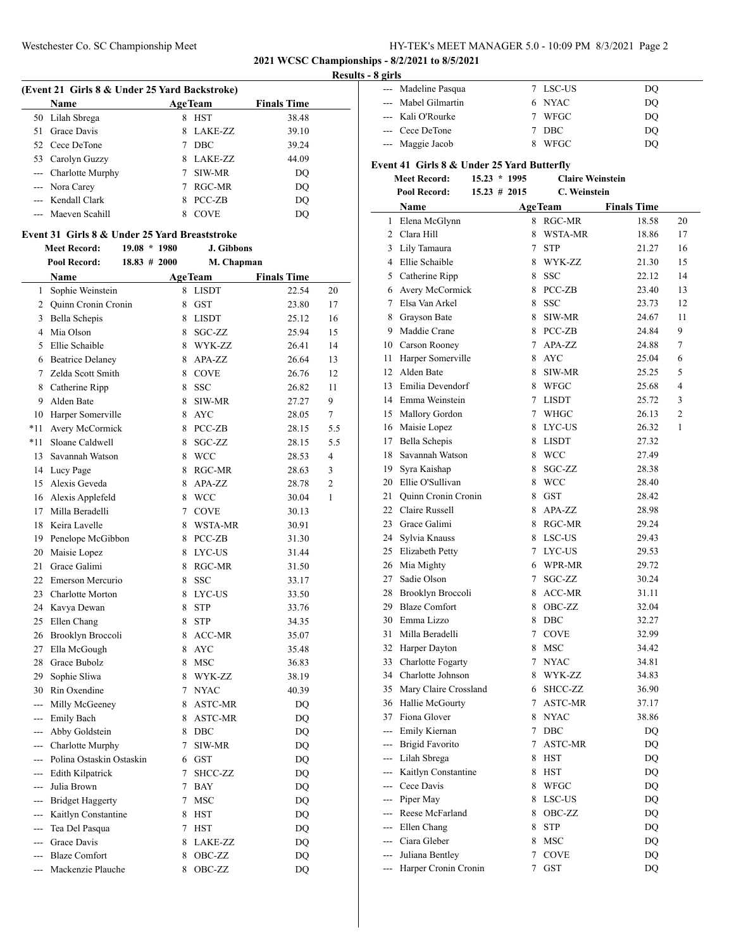# Westchester Co. SC Championship Meet HY-TEK's MEET MANAGER 5.0 - 10:09 PM 8/3/2021 Page 2

**2021 WCSC Championships - 8/2/2021 to 8/5/2021**

### **Results - 8**

| (Event 21 Girls 8 & Under 25 Yard Backstroke) |                      |    |                |                    |  |
|-----------------------------------------------|----------------------|----|----------------|--------------------|--|
|                                               | <b>Name</b>          |    | <b>AgeTeam</b> | <b>Finals Time</b> |  |
|                                               | 50 Lilah Sbrega      | 8  | <b>HST</b>     | 38.48              |  |
|                                               | 51 Grace Davis       | 8. | LAKE-ZZ        | 39.10              |  |
|                                               | 52 Cece DeTone       |    | <b>DBC</b>     | 39.24              |  |
|                                               | 53 Carolyn Guzzy     | 8. | LAKE-ZZ        | 44.09              |  |
|                                               | --- Charlotte Murphy |    | SIW-MR         | DQ                 |  |
|                                               | --- Nora Carey       |    | RGC-MR         | DO                 |  |
|                                               | --- Kendall Clark    |    | PCC-ZB         | DO                 |  |
|                                               | --- Maeven Scahill   |    | <b>COVE</b>    | DO                 |  |

### **Event 31 Girls 8 & Under 25 Yard Breaststroke**

**Meet Record: 19.08 \* 1980 J. Gibbons**

|                     | Pool Record:                 | $18.83 \# 2000$ |                 | M. Chapman     |                    |                |
|---------------------|------------------------------|-----------------|-----------------|----------------|--------------------|----------------|
|                     | Name                         |                 |                 | <b>AgeTeam</b> | <b>Finals Time</b> |                |
| 1                   | Sophie Weinstein             |                 | 8               | <b>LISDT</b>   | 22.54              | 20             |
|                     | 2 Quinn Cronin Cronin        |                 |                 | 8 GST          | 23.80              | 17             |
| $\mathbf{3}$        | Bella Schepis                |                 | 8               | LISDT          | 25.12              | 16             |
| 4                   | Mia Olson                    |                 | 8               | SGC-ZZ         | 25.94              | 15             |
| 5                   | Ellie Schaible               |                 | 8               | WYK-ZZ         | 26.41              | 14             |
| 6                   | <b>Beatrice Delaney</b>      |                 | 8               | APA-ZZ         | 26.64              | 13             |
| 7                   | Zelda Scott Smith            |                 | 8               | <b>COVE</b>    | 26.76              | 12             |
| 8                   | Catherine Ripp               |                 |                 | 8 SSC          | 26.82              | 11             |
| 9                   | Alden Bate                   |                 | 8               | SIW-MR         | 27.27              | 9              |
| 10                  | Harper Somerville            |                 | 8               | <b>AYC</b>     | 28.05              | 7              |
| *11                 | Avery McCormick              |                 |                 | 8 PCC-ZB       | 28.15              | 5.5            |
| $*11$               | Sloane Caldwell              |                 | 8               | SGC-ZZ         | 28.15              | 5.5            |
| 13                  | Savannah Watson              |                 |                 | 8 WCC          | 28.53              | 4              |
| 14                  | Lucy Page                    |                 |                 | 8 RGC-MR       | 28.63              | 3              |
| 15                  | Alexis Geveda                |                 | 8               | APA-ZZ         | 28.78              | $\overline{c}$ |
| 16                  | Alexis Applefeld             |                 | 8               | <b>WCC</b>     | 30.04              | 1              |
| 17                  | Milla Beradelli              |                 |                 | 7 COVE         | 30.13              |                |
| 18                  | Keira Lavelle                |                 | 8               | WSTA-MR        | 30.91              |                |
| 19                  | Penelope McGibbon            |                 |                 | 8 PCC-ZB       | 31.30              |                |
| 20                  | Maisie Lopez                 |                 |                 | 8 LYC-US       | 31.44              |                |
| 21                  | Grace Galimi                 |                 |                 | 8 RGC-MR       | 31.50              |                |
| 22                  | Emerson Mercurio             |                 | 8               | <b>SSC</b>     | 33.17              |                |
| 23                  | Charlotte Morton             |                 |                 | 8 LYC-US       | 33.50              |                |
| 24                  | Kavya Dewan                  |                 | 8               | <b>STP</b>     | 33.76              |                |
| 25                  | Ellen Chang                  |                 | 8               | <b>STP</b>     | 34.35              |                |
| 26                  | Brooklyn Broccoli            |                 |                 | 8 ACC-MR       | 35.07              |                |
| 27                  | Ella McGough                 |                 | 8               | <b>AYC</b>     | 35.48              |                |
| 28                  | Grace Bubolz                 |                 | 8               | <b>MSC</b>     | 36.83              |                |
| 29                  | Sophie Sliwa                 |                 | 8               | WYK-ZZ         | 38.19              |                |
| 30                  | Rin Oxendine                 |                 | 7               | <b>NYAC</b>    | 40.39              |                |
| $\overline{a}$      | Milly McGeeney               |                 | 8               | <b>ASTC-MR</b> | DQ                 |                |
|                     | --- Emily Bach               |                 | 8               | ASTC-MR        | DQ                 |                |
| $\cdots$            | Abby Goldstein               |                 | 8               | DBC            | DQ                 |                |
|                     | --- Charlotte Murphy         |                 | $\tau$          | SIW-MR         | DQ                 |                |
|                     | --- Polina Ostaskin Ostaskin |                 |                 | $6$ GST        | DQ                 |                |
| $- - -$             | Edith Kilpatrick             |                 | $7^{\circ}$     | SHCC-ZZ        | DQ                 |                |
|                     | --- Julia Brown              |                 |                 | 7 BAY          | DQ                 |                |
|                     | --- Bridget Haggerty         |                 |                 | 7 MSC          | DQ                 |                |
| $---$               | Kaitlyn Constantine          |                 |                 | 8 HST          | DQ                 |                |
| $\mathbb{R}^{2n+1}$ | Tea Del Pasqua               |                 | $7\overline{ }$ | <b>HST</b>     | DQ                 |                |
|                     | --- Grace Davis              |                 | 8               | LAKE-ZZ        | DQ                 |                |
| $\frac{1}{2}$       | <b>Blaze Comfort</b>         |                 | 8               | OBC-ZZ         | DQ                 |                |
| $\sim$              | Mackenzie Plauche            |                 | 8               | OBC-ZZ         | DQ                 |                |

| 8 girls        |                                                              |                 |                         |                    |                        |
|----------------|--------------------------------------------------------------|-----------------|-------------------------|--------------------|------------------------|
|                | Madeline Pasqua                                              |                 | 7 LSC-US                | DQ                 |                        |
|                | Mabel Gilmartin                                              | 6               | <b>NYAC</b>             | DQ                 |                        |
|                | Kali O'Rourke                                                | 7               | <b>WFGC</b>             | DO                 |                        |
| ---            | Cece DeTone                                                  | 7               | <b>DBC</b>              | DO                 |                        |
| ---            | Maggie Jacob                                                 | 8               | <b>WFGC</b>             | DQ                 |                        |
|                | Event 41 Girls 8 & Under 25 Yard Butterfly                   |                 |                         |                    |                        |
|                | <b>Meet Record:</b>                                          | $15.23 * 1995$  | <b>Claire Weinstein</b> |                    |                        |
|                | <b>Pool Record:</b>                                          | $15.23 \# 2015$ | C. Weinstein            |                    |                        |
|                | Name                                                         |                 | <b>AgeTeam</b>          | <b>Finals Time</b> |                        |
| 1              | Elena McGlynn                                                | 8               | $RGC-MR$                | 18.58              | 20                     |
| $\overline{c}$ | Clara Hill                                                   | 8               | WSTA-MR                 | 18.86              | 17                     |
| 3              | Lily Tamaura                                                 | 7               | <b>STP</b>              | 21.27              | 16                     |
| 4              | Ellie Schaible                                               | 8               | WYK-ZZ                  | 21.30              | 15                     |
| 5              | Catherine Ripp                                               | 8               | <b>SSC</b>              | 22.12              | 14                     |
| 6              | Avery McCormick                                              | 8               | PCC-ZB                  | 23.40              | 13                     |
| 7              | Elsa Van Arkel                                               | 8               | <b>SSC</b>              | 23.73              | 12                     |
| 8              | Grayson Bate                                                 | 8               | SIW-MR                  | 24.67              | 11                     |
| 9              | Maddie Crane                                                 | 8               | PCC-ZB                  | 24.84              | 9                      |
| 10             | Carson Rooney                                                | 7               | $APA-ZZ$                | 24.88              | 7                      |
| 11             | Harper Somerville                                            | 8               | <b>AYC</b>              | 25.04              | 6                      |
| 12             | Alden Bate                                                   | 8               | SIW-MR                  | 25.25              | 5                      |
|                | 12 $E_{\text{out}}(1)$ , $D_{\text{out}}(1)$ , $\mathcal{L}$ |                 | $0$ WECC                | 2500               | $\boldsymbol{\Lambda}$ |

| 10             | Carson Rooney          | 7 | APA-ZZ         | 24.88 | 7 |
|----------------|------------------------|---|----------------|-------|---|
| 11             | Harper Somerville      | 8 | <b>AYC</b>     | 25.04 | 6 |
| 12             | Alden Bate             | 8 | SIW-MR         | 25.25 | 5 |
| 13             | Emilia Devendorf       | 8 | WFGC           | 25.68 | 4 |
| 14             | Emma Weinstein         | 7 | LISDT          | 25.72 | 3 |
| 15             | Mallory Gordon         | 7 | WHGC           | 26.13 | 2 |
| 16             | Maisie Lopez           | 8 | LYC-US         | 26.32 | 1 |
| 17             | <b>Bella Schepis</b>   | 8 | LISDT          | 27.32 |   |
| 18             | Savannah Watson        | 8 | WCC            | 27.49 |   |
| 19             | Syra Kaishap           | 8 | SGC-ZZ         | 28.38 |   |
| 20             | Ellie O'Sullivan       | 8 | <b>WCC</b>     | 28.40 |   |
| 21             | Quinn Cronin Cronin    | 8 | <b>GST</b>     | 28.42 |   |
| 22             | Claire Russell         | 8 | APA-ZZ         | 28.98 |   |
| 23             | Grace Galimi           | 8 | RGC-MR         | 29.24 |   |
| 24             | Sylvia Knauss          | 8 | LSC-US         | 29.43 |   |
| 25             | <b>Elizabeth Petty</b> | 7 | LYC-US         | 29.53 |   |
| 26             | Mia Mighty             | 6 | WPR-MR         | 29.72 |   |
| 27             | Sadie Olson            | 7 | SGC-ZZ         | 30.24 |   |
| 28             | Brooklyn Broccoli      | 8 | ACC-MR         | 31.11 |   |
| 29             | <b>Blaze Comfort</b>   | 8 | OBC-ZZ         | 32.04 |   |
| 30             | Emma Lizzo             | 8 | <b>DBC</b>     | 32.27 |   |
| 31             | Milla Beradelli        | 7 | <b>COVE</b>    | 32.99 |   |
| 32             | Harper Dayton          | 8 | MSC            | 34.42 |   |
| 33             | Charlotte Fogarty      | 7 | <b>NYAC</b>    | 34.81 |   |
| 34             | Charlotte Johnson      | 8 | WYK-ZZ         | 34.83 |   |
| 35             | Mary Claire Crossland  | 6 | SHCC-ZZ        | 36.90 |   |
| 36             | Hallie McGourty        | 7 | <b>ASTC-MR</b> | 37.17 |   |
| 37             | Fiona Glover           | 8 | <b>NYAC</b>    | 38.86 |   |
| $\overline{a}$ | Emily Kiernan          | 7 | DBC            | DQ    |   |
| $\overline{a}$ | <b>Brigid Favorito</b> | 7 | <b>ASTC-MR</b> | DQ    |   |
| ---            | Lilah Sbrega           | 8 | <b>HST</b>     | DQ    |   |
| ---            | Kaitlyn Constantine    | 8 | <b>HST</b>     | DQ    |   |
| $---$          | Cece Davis             | 8 | <b>WFGC</b>    | DQ    |   |
| ---            | Piper May              | 8 | LSC-US         | DQ    |   |
| $---$          | Reese McFarland        | 8 | OBC-ZZ         | DQ    |   |
| ---            | Ellen Chang            | 8 | <b>STP</b>     | DQ    |   |
| ---            | Ciara Gleber           | 8 | <b>MSC</b>     | DQ    |   |
| $\overline{a}$ | Juliana Bentley        | 7 | <b>COVE</b>    | DQ    |   |
| $---$          | Harper Cronin Cronin   | 7 | GST            | DQ    |   |